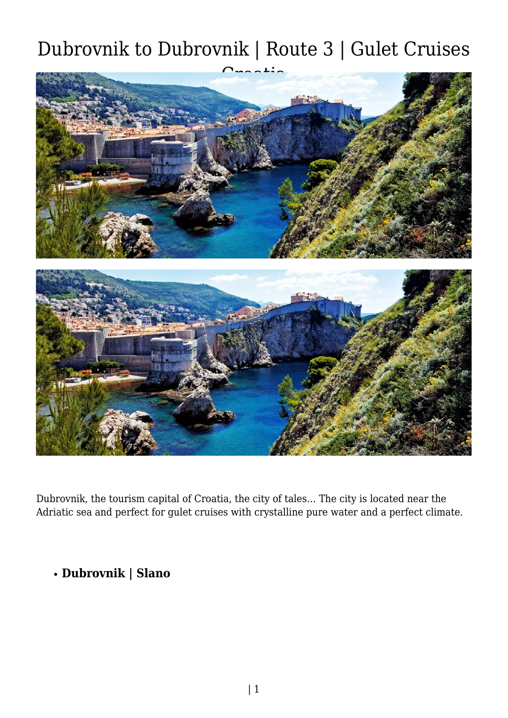

Dubrovnik, the tourism capital of Croatia, the city of tales… The city is located near the Adriatic sea and perfect for gulet cruises with crystalline pure water and a perfect climate.

### **Dubrovnik | Slano**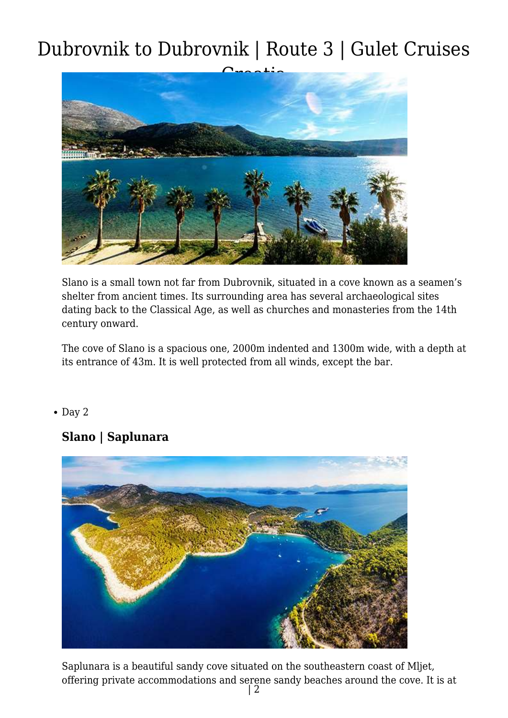

Slano is a small town not far from Dubrovnik, situated in a cove known as a seamen's shelter from ancient times. Its surrounding area has several archaeological sites dating back to the Classical Age, as well as churches and monasteries from the 14th century onward.

The cove of Slano is a spacious one, 2000m indented and 1300m wide, with a depth at its entrance of 43m. It is well protected from all winds, except the bar.

#### $\bullet$  Day 2

### **Slano | Saplunara**



Saplunara is a beautiful sandy cove situated on the southeastern coast of Mljet, offering private accommodations and serene sandy beaches around the cove. It is at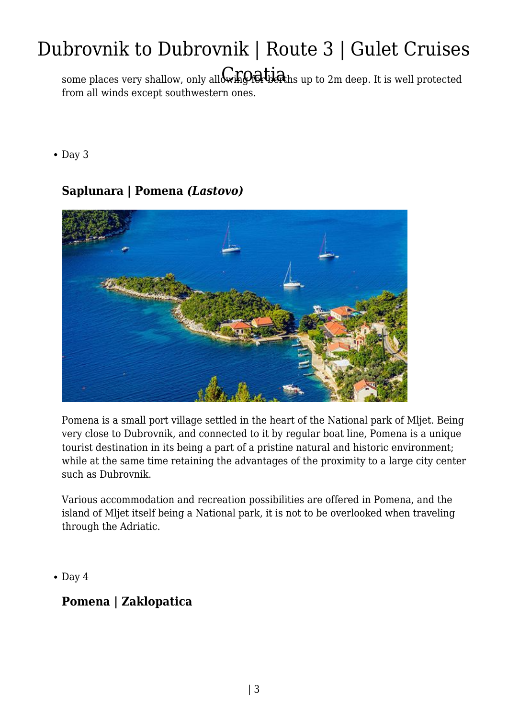some places very shallow, only all $\mathcal{C}$  .  $\mathcal{C}$  .  $\mathcal{C}$  . This well protected some places very shallow, only all  $\mathcal{C}$  . from all winds except southwestern ones.

• Day 3

### **Saplunara | Pomena** *(Lastovo)*



Pomena is a small port village settled in the heart of the National park of Mljet. Being very close to Dubrovnik, and connected to it by regular boat line, Pomena is a unique tourist destination in its being a part of a pristine natural and historic environment; while at the same time retaining the advantages of the proximity to a large city center such as Dubrovnik.

Various accommodation and recreation possibilities are offered in Pomena, and the island of Mljet itself being a National park, it is not to be overlooked when traveling through the Adriatic.

 $\bullet$  Day 4

### **Pomena | Zaklopatica**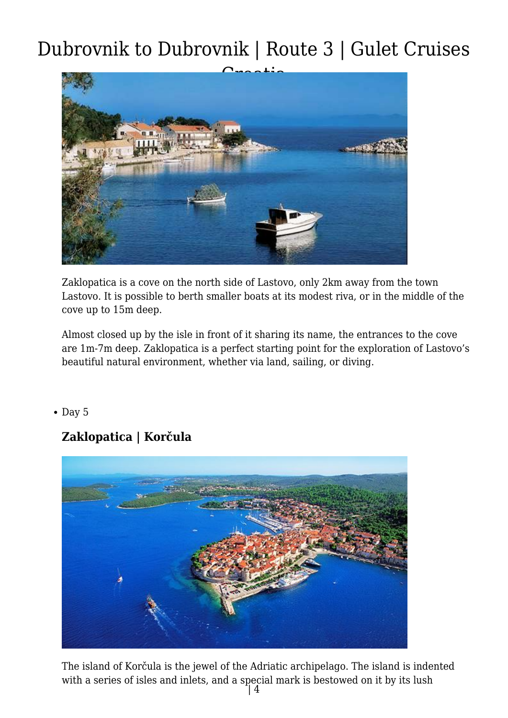

Zaklopatica is a cove on the north side of Lastovo, only 2km away from the town Lastovo. It is possible to berth smaller boats at its modest riva, or in the middle of the cove up to 15m deep.

Almost closed up by the isle in front of it sharing its name, the entrances to the cove are 1m-7m deep. Zaklopatica is a perfect starting point for the exploration of Lastovo's beautiful natural environment, whether via land, sailing, or diving.

#### $\bullet$  Day 5

### **Zaklopatica | Korčula**



The island of Korčula is the jewel of the Adriatic archipelago. The island is indented with a series of isles and inlets, and a special mark is bestowed on it by its lush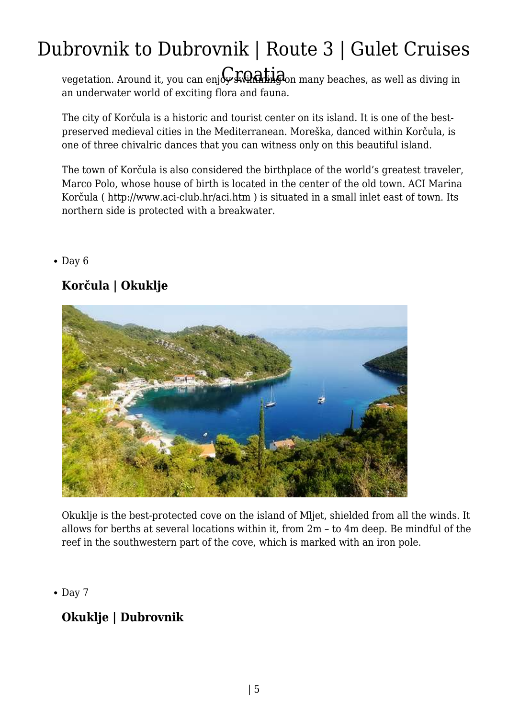vegetation. Around it, you can enj $G$ swin**Ghiag**on many beaches, as well as diving in an underwater world of exciting flora and fauna.

The city of Korčula is a historic and tourist center on its island. It is one of the bestpreserved medieval cities in the Mediterranean. Moreška, danced within Korčula, is one of three chivalric dances that you can witness only on this beautiful island.

The town of Korčula is also considered the birthplace of the world's greatest traveler, Marco Polo, whose house of birth is located in the center of the old town. ACI Marina Korčula ( http://www.aci-club.hr/aci.htm ) is situated in a small inlet east of town. Its northern side is protected with a breakwater.

#### $\bullet$  Day 6

### **Korčula | Okuklje**



Okuklje is the best-protected cove on the island of Mljet, shielded from all the winds. It allows for berths at several locations within it, from 2m – to 4m deep. Be mindful of the reef in the southwestern part of the cove, which is marked with an iron pole.

 $\bullet$  Day 7

### **Okuklje | Dubrovnik**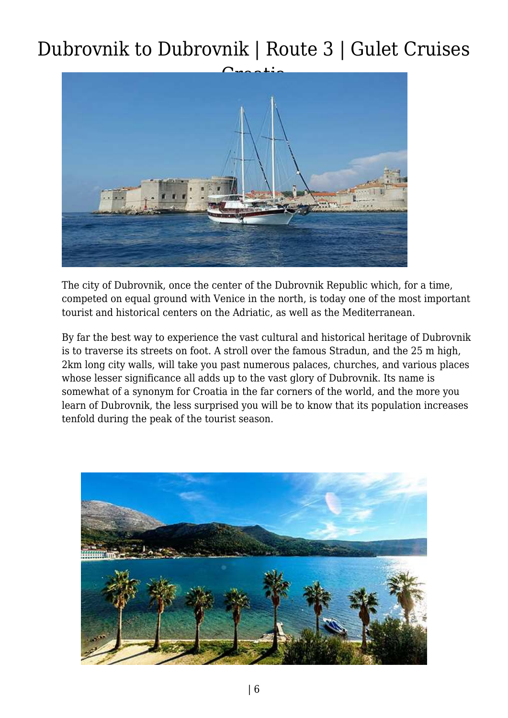

The city of Dubrovnik, once the center of the Dubrovnik Republic which, for a time, competed on equal ground with Venice in the north, is today one of the most important tourist and historical centers on the Adriatic, as well as the Mediterranean.

By far the best way to experience the vast cultural and historical heritage of Dubrovnik is to traverse its streets on foot. A stroll over the famous Stradun, and the 25 m high, 2km long city walls, will take you past numerous palaces, churches, and various places whose lesser significance all adds up to the vast glory of Dubrovnik. Its name is somewhat of a synonym for Croatia in the far corners of the world, and the more you learn of Dubrovnik, the less surprised you will be to know that its population increases tenfold during the peak of the tourist season.

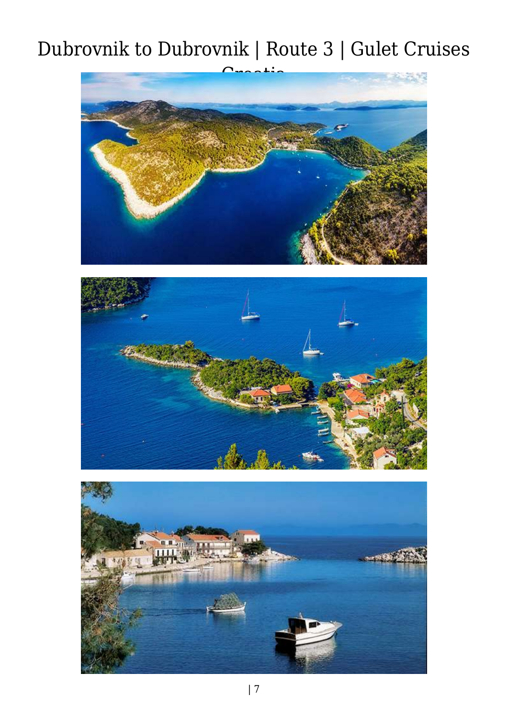